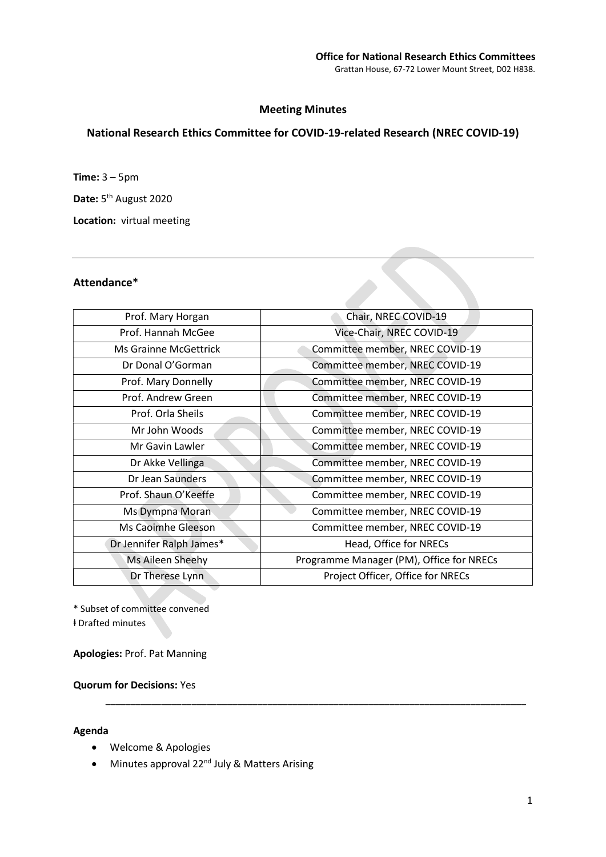### Meeting Minutes

# National Research Ethics Committee for COVID-19-related Research (NREC COVID-19)

Time: 3 – 5pm

Date: 5<sup>th</sup> August 2020

Location: virtual meeting

### Attendance\*

| Prof. Mary Horgan            | Chair, NREC COVID-19                     |
|------------------------------|------------------------------------------|
| Prof. Hannah McGee           | Vice-Chair, NREC COVID-19                |
| <b>Ms Grainne McGettrick</b> | Committee member, NREC COVID-19          |
| Dr Donal O'Gorman            | Committee member, NREC COVID-19          |
| Prof. Mary Donnelly          | Committee member, NREC COVID-19          |
| Prof. Andrew Green           | Committee member, NREC COVID-19          |
| Prof. Orla Sheils            | Committee member, NREC COVID-19          |
| Mr John Woods                | Committee member, NREC COVID-19          |
| Mr Gavin Lawler              | Committee member, NREC COVID-19          |
| Dr Akke Vellinga             | Committee member, NREC COVID-19          |
| Dr Jean Saunders             | Committee member, NREC COVID-19          |
| Prof. Shaun O'Keeffe         | Committee member, NREC COVID-19          |
| Ms Dympna Moran              | Committee member, NREC COVID-19          |
| Ms Caoimhe Gleeson           | Committee member, NREC COVID-19          |
| Dr Jennifer Ralph James*     | Head, Office for NRECs                   |
| Ms Aileen Sheehy             | Programme Manager (PM), Office for NRECs |
| Dr Therese Lynn              | Project Officer, Office for NRECs        |
|                              |                                          |

\_\_\_\_\_\_\_\_\_\_\_\_\_\_\_\_\_\_\_\_\_\_\_\_\_\_\_\_\_\_\_\_\_\_\_\_\_\_\_\_\_\_\_\_\_\_\_\_\_\_\_\_\_\_\_\_\_\_\_\_\_\_\_\_\_\_\_\_\_\_\_\_\_\_\_\_\_\_\_\_\_\_\_

\* Subset of committee convened ⱡ Drafted minutes

Apologies: Prof. Pat Manning

### Quorum for Decisions: Yes

#### Agenda

- Welcome & Apologies
- Minutes approval 22<sup>nd</sup> July & Matters Arising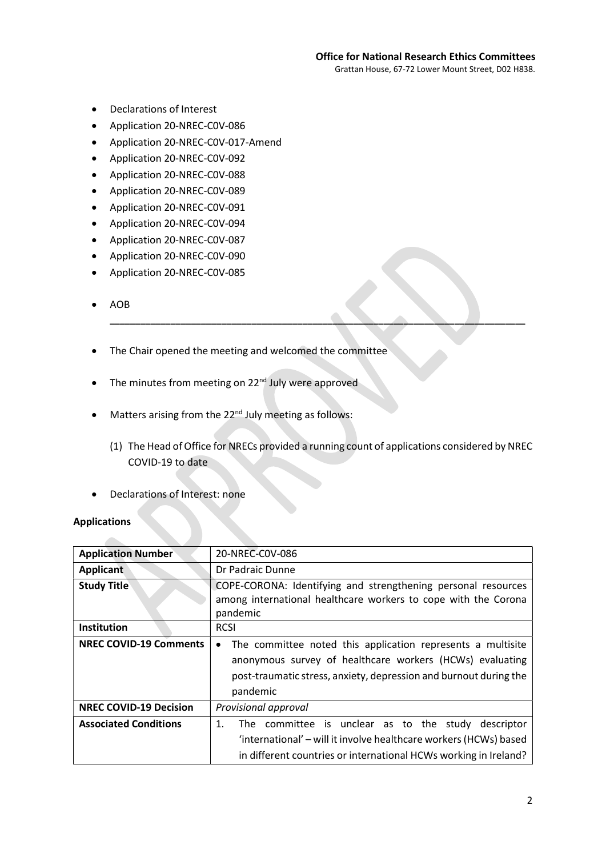Grattan House, 67-72 Lower Mount Street, D02 H838.

- Declarations of Interest
- Application 20-NREC-C0V-086
- Application 20-NREC-C0V-017-Amend
- Application 20-NREC-C0V-092
- Application 20-NREC-C0V-088
- Application 20-NREC-C0V-089
- Application 20-NREC-C0V-091
- Application 20-NREC-C0V-094
- Application 20-NREC-C0V-087
- Application 20-NREC-C0V-090
- Application 20-NREC-C0V-085
- AOB
- The Chair opened the meeting and welcomed the committee
- $\bullet$  The minutes from meeting on 22<sup>nd</sup> July were approved
- Matters arising from the 22<sup>nd</sup> July meeting as follows:
	- (1) The Head of Office for NRECs provided a running count of applications considered by NREC COVID-19 to date

\_\_\_\_\_\_\_\_\_\_\_\_\_\_\_\_\_\_\_\_\_\_\_\_\_\_\_\_\_\_\_\_\_\_\_\_\_\_\_\_\_\_\_\_\_\_\_\_\_\_\_\_\_\_\_\_\_\_\_\_\_\_\_\_\_\_\_\_\_\_\_\_\_\_\_\_\_\_\_\_\_\_

Declarations of Interest: none

#### Applications

| <b>Application Number</b>     | 20-NREC-C0V-086                                                                                                                             |
|-------------------------------|---------------------------------------------------------------------------------------------------------------------------------------------|
| <b>Applicant</b>              | Dr Padraic Dunne                                                                                                                            |
| <b>Study Title</b>            | COPE-CORONA: Identifying and strengthening personal resources<br>among international healthcare workers to cope with the Corona<br>pandemic |
| Institution                   | <b>RCSI</b>                                                                                                                                 |
| <b>NREC COVID-19 Comments</b> | The committee noted this application represents a multisite<br>$\bullet$                                                                    |
|                               | anonymous survey of healthcare workers (HCWs) evaluating                                                                                    |
|                               | post-traumatic stress, anxiety, depression and burnout during the                                                                           |
|                               | pandemic                                                                                                                                    |
| <b>NREC COVID-19 Decision</b> | Provisional approval                                                                                                                        |
| <b>Associated Conditions</b>  | The committee is unclear as to the study descriptor<br>$\mathbf{1}$ .                                                                       |
|                               | 'international' – will it involve healthcare workers (HCWs) based                                                                           |
|                               | in different countries or international HCWs working in Ireland?                                                                            |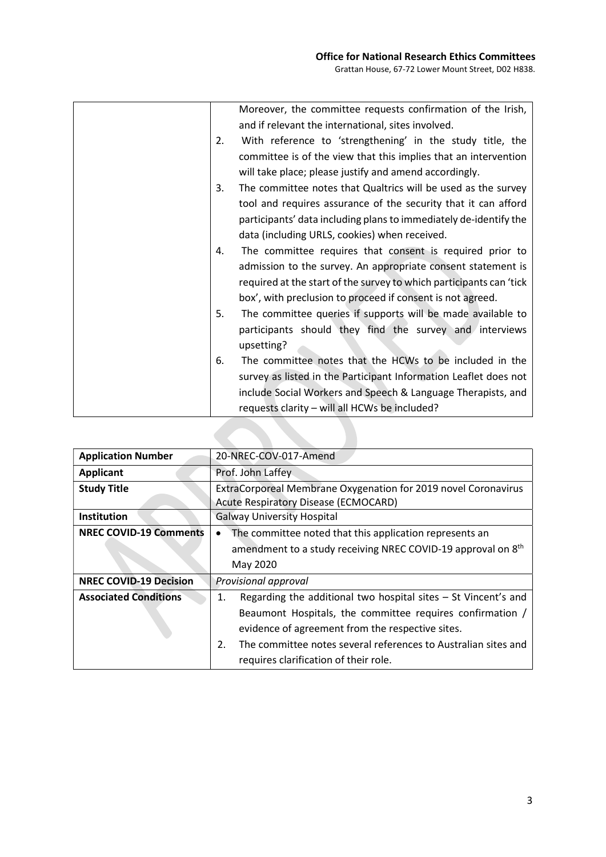|    | Moreover, the committee requests confirmation of the Irish,         |
|----|---------------------------------------------------------------------|
|    | and if relevant the international, sites involved.                  |
| 2. | With reference to 'strengthening' in the study title, the           |
|    | committee is of the view that this implies that an intervention     |
|    | will take place; please justify and amend accordingly.              |
| 3. | The committee notes that Qualtrics will be used as the survey       |
|    | tool and requires assurance of the security that it can afford      |
|    | participants' data including plans to immediately de-identify the   |
|    | data (including URLS, cookies) when received.                       |
| 4. | The committee requires that consent is required prior to            |
|    | admission to the survey. An appropriate consent statement is        |
|    | required at the start of the survey to which participants can 'tick |
|    | box', with preclusion to proceed if consent is not agreed.          |
| 5. | The committee queries if supports will be made available to         |
|    | participants should they find the survey and interviews             |
|    | upsetting?                                                          |
| 6. | The committee notes that the HCWs to be included in the             |
|    | survey as listed in the Participant Information Leaflet does not    |
|    | include Social Workers and Speech & Language Therapists, and        |
|    | requests clarity - will all HCWs be included?                       |
|    |                                                                     |

| <b>Application Number</b>     | 20-NREC-COV-017-Amend                                                    |
|-------------------------------|--------------------------------------------------------------------------|
| <b>Applicant</b>              | Prof. John Laffey                                                        |
| <b>Study Title</b>            | ExtraCorporeal Membrane Oxygenation for 2019 novel Coronavirus           |
|                               | <b>Acute Respiratory Disease (ECMOCARD)</b>                              |
| <b>Institution</b>            | <b>Galway University Hospital</b>                                        |
| <b>NREC COVID-19 Comments</b> | The committee noted that this application represents an                  |
|                               | amendment to a study receiving NREC COVID-19 approval on 8 <sup>th</sup> |
|                               | May 2020                                                                 |
| <b>NREC COVID-19 Decision</b> | <b>Provisional approval</b>                                              |
| <b>Associated Conditions</b>  | Regarding the additional two hospital sites - St Vincent's and<br>1.     |
|                               | Beaumont Hospitals, the committee requires confirmation /                |
|                               | evidence of agreement from the respective sites.                         |
|                               | The committee notes several references to Australian sites and<br>2.     |
|                               | requires clarification of their role.                                    |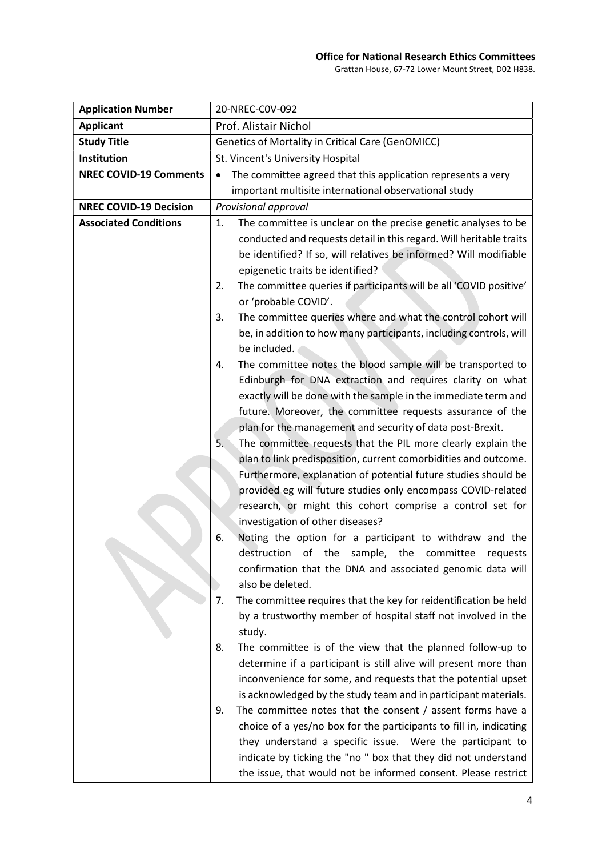| <b>Application Number</b>     | 20-NREC-C0V-092                                                          |
|-------------------------------|--------------------------------------------------------------------------|
| <b>Applicant</b>              | Prof. Alistair Nichol                                                    |
| <b>Study Title</b>            | <b>Genetics of Mortality in Critical Care (GenOMICC)</b>                 |
| Institution                   | St. Vincent's University Hospital                                        |
| <b>NREC COVID-19 Comments</b> | The committee agreed that this application represents a very             |
|                               | important multisite international observational study                    |
| <b>NREC COVID-19 Decision</b> | Provisional approval                                                     |
| <b>Associated Conditions</b>  | The committee is unclear on the precise genetic analyses to be<br>1.     |
|                               | conducted and requests detail in this regard. Will heritable traits      |
|                               | be identified? If so, will relatives be informed? Will modifiable        |
|                               | epigenetic traits be identified?                                         |
|                               | The committee queries if participants will be all 'COVID positive'<br>2. |
|                               | or 'probable COVID'.                                                     |
|                               | The committee queries where and what the control cohort will<br>3.       |
|                               | be, in addition to how many participants, including controls, will       |
|                               | be included.                                                             |
|                               | The committee notes the blood sample will be transported to<br>4.        |
|                               | Edinburgh for DNA extraction and requires clarity on what                |
|                               | exactly will be done with the sample in the immediate term and           |
|                               | future. Moreover, the committee requests assurance of the                |
|                               | plan for the management and security of data post-Brexit.                |
|                               | 5.<br>The committee requests that the PIL more clearly explain the       |
|                               | plan to link predisposition, current comorbidities and outcome.          |
|                               | Furthermore, explanation of potential future studies should be           |
|                               | provided eg will future studies only encompass COVID-related             |
|                               | research, or might this cohort comprise a control set for                |
|                               | investigation of other diseases?                                         |
|                               | Noting the option for a participant to withdraw and the<br>6.            |
|                               | of the<br>destruction<br>sample,<br>the<br>committee<br>requests         |
|                               | confirmation that the DNA and associated genomic data will               |
|                               | also be deleted.                                                         |
|                               | The committee requires that the key for reidentification be held<br>7.   |
|                               | by a trustworthy member of hospital staff not involved in the            |
|                               | study.                                                                   |
|                               | The committee is of the view that the planned follow-up to<br>8.         |
|                               | determine if a participant is still alive will present more than         |
|                               | inconvenience for some, and requests that the potential upset            |
|                               | is acknowledged by the study team and in participant materials.          |
|                               | The committee notes that the consent $/$ assent forms have a<br>9.       |
|                               | choice of a yes/no box for the participants to fill in, indicating       |
|                               | they understand a specific issue. Were the participant to                |
|                               | indicate by ticking the "no " box that they did not understand           |
|                               | the issue, that would not be informed consent. Please restrict           |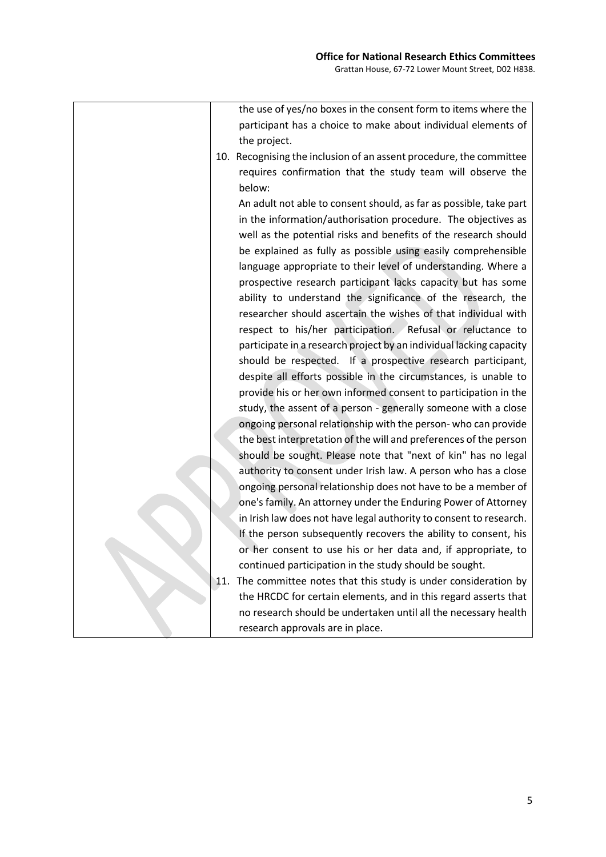| the use of yes/no boxes in the consent form to items where the       |
|----------------------------------------------------------------------|
| participant has a choice to make about individual elements of        |
| the project.                                                         |
| 10. Recognising the inclusion of an assent procedure, the committee  |
| requires confirmation that the study team will observe the           |
| below:                                                               |
| An adult not able to consent should, as far as possible, take part   |
| in the information/authorisation procedure. The objectives as        |
| well as the potential risks and benefits of the research should      |
| be explained as fully as possible using easily comprehensible        |
| language appropriate to their level of understanding. Where a        |
| prospective research participant lacks capacity but has some         |
| ability to understand the significance of the research, the          |
| researcher should ascertain the wishes of that individual with       |
| respect to his/her participation. Refusal or reluctance to           |
| participate in a research project by an individual lacking capacity  |
| should be respected. If a prospective research participant,          |
| despite all efforts possible in the circumstances, is unable to      |
| provide his or her own informed consent to participation in the      |
| study, the assent of a person - generally someone with a close       |
| ongoing personal relationship with the person- who can provide       |
| the best interpretation of the will and preferences of the person    |
| should be sought. Please note that "next of kin" has no legal        |
| authority to consent under Irish law. A person who has a close       |
| ongoing personal relationship does not have to be a member of        |
| one's family. An attorney under the Enduring Power of Attorney       |
| in Irish law does not have legal authority to consent to research.   |
| If the person subsequently recovers the ability to consent, his      |
| or her consent to use his or her data and, if appropriate, to        |
| continued participation in the study should be sought.               |
| The committee notes that this study is under consideration by<br>11. |
| the HRCDC for certain elements, and in this regard asserts that      |
| no research should be undertaken until all the necessary health      |
| research approvals are in place.                                     |
|                                                                      |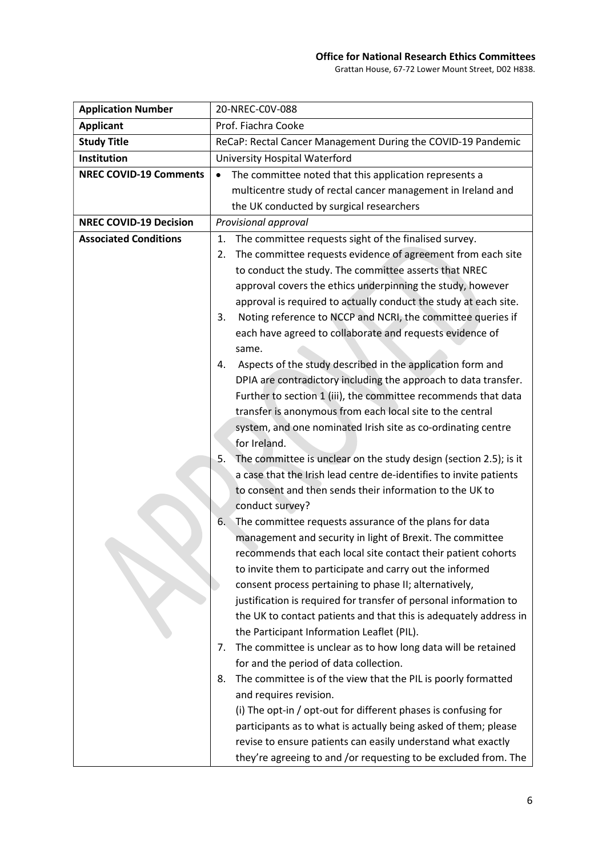| <b>Application Number</b>     | 20-NREC-C0V-088                                                         |
|-------------------------------|-------------------------------------------------------------------------|
| <b>Applicant</b>              | Prof. Fiachra Cooke                                                     |
| <b>Study Title</b>            | ReCaP: Rectal Cancer Management During the COVID-19 Pandemic            |
| Institution                   | University Hospital Waterford                                           |
| <b>NREC COVID-19 Comments</b> | The committee noted that this application represents a                  |
|                               | multicentre study of rectal cancer management in Ireland and            |
|                               | the UK conducted by surgical researchers                                |
| <b>NREC COVID-19 Decision</b> | Provisional approval                                                    |
| <b>Associated Conditions</b>  | The committee requests sight of the finalised survey.<br>1.             |
|                               | The committee requests evidence of agreement from each site<br>2.       |
|                               | to conduct the study. The committee asserts that NREC                   |
|                               | approval covers the ethics underpinning the study, however              |
|                               | approval is required to actually conduct the study at each site.        |
|                               | Noting reference to NCCP and NCRI, the committee queries if<br>3.       |
|                               | each have agreed to collaborate and requests evidence of                |
|                               | same.                                                                   |
|                               | Aspects of the study described in the application form and<br>4.        |
|                               | DPIA are contradictory including the approach to data transfer.         |
|                               | Further to section 1 (iii), the committee recommends that data          |
|                               | transfer is anonymous from each local site to the central               |
|                               | system, and one nominated Irish site as co-ordinating centre            |
|                               | for Ireland.                                                            |
|                               | The committee is unclear on the study design (section 2.5); is it<br>5. |
|                               | a case that the Irish lead centre de-identifies to invite patients      |
|                               | to consent and then sends their information to the UK to                |
|                               | conduct survey?                                                         |
|                               | The committee requests assurance of the plans for data<br>6.            |
|                               | management and security in light of Brexit. The committee               |
|                               | recommends that each local site contact their patient cohorts           |
|                               | to invite them to participate and carry out the informed                |
|                               | consent process pertaining to phase II; alternatively,                  |
|                               | justification is required for transfer of personal information to       |
|                               | the UK to contact patients and that this is adequately address in       |
|                               | the Participant Information Leaflet (PIL).                              |
|                               | The committee is unclear as to how long data will be retained<br>7.     |
|                               | for and the period of data collection.                                  |
|                               | The committee is of the view that the PIL is poorly formatted<br>8.     |
|                               | and requires revision.                                                  |
|                               | (i) The opt-in / opt-out for different phases is confusing for          |
|                               | participants as to what is actually being asked of them; please         |
|                               | revise to ensure patients can easily understand what exactly            |
|                               | they're agreeing to and /or requesting to be excluded from. The         |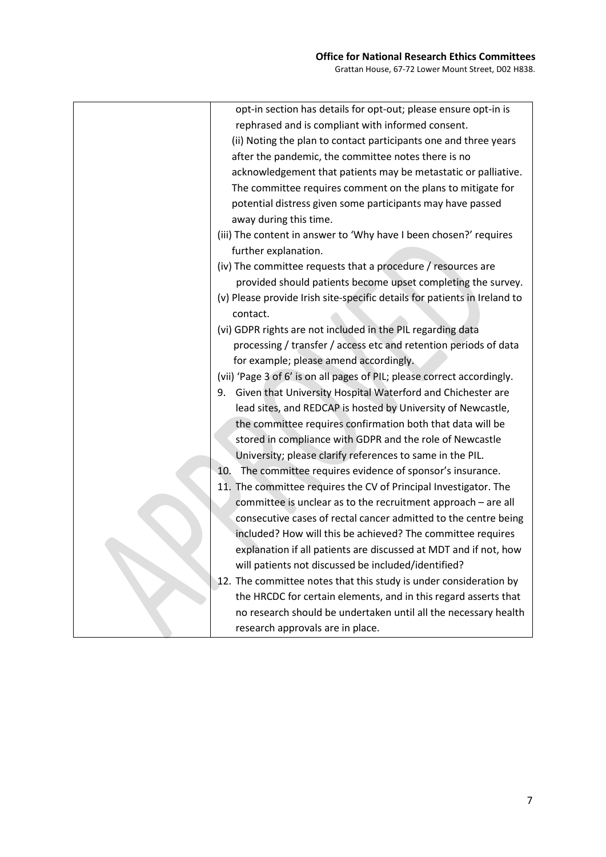| opt-in section has details for opt-out; please ensure opt-in is           |
|---------------------------------------------------------------------------|
| rephrased and is compliant with informed consent.                         |
| (ii) Noting the plan to contact participants one and three years          |
| after the pandemic, the committee notes there is no                       |
| acknowledgement that patients may be metastatic or palliative.            |
| The committee requires comment on the plans to mitigate for               |
| potential distress given some participants may have passed                |
| away during this time.                                                    |
| (iii) The content in answer to 'Why have I been chosen?' requires         |
| further explanation.                                                      |
| (iv) The committee requests that a procedure / resources are              |
| provided should patients become upset completing the survey.              |
| (v) Please provide Irish site-specific details for patients in Ireland to |
| contact.                                                                  |
| (vi) GDPR rights are not included in the PIL regarding data               |
| processing / transfer / access etc and retention periods of data          |
| for example; please amend accordingly.                                    |
| (vii) 'Page 3 of 6' is on all pages of PIL; please correct accordingly.   |
| 9. Given that University Hospital Waterford and Chichester are            |
| lead sites, and REDCAP is hosted by University of Newcastle,              |
| the committee requires confirmation both that data will be                |
| stored in compliance with GDPR and the role of Newcastle                  |
| University; please clarify references to same in the PIL.                 |
| The committee requires evidence of sponsor's insurance.<br>10.            |
| 11. The committee requires the CV of Principal Investigator. The          |
| committee is unclear as to the recruitment approach - are all             |
| consecutive cases of rectal cancer admitted to the centre being           |
| included? How will this be achieved? The committee requires               |
| explanation if all patients are discussed at MDT and if not, how          |
| will patients not discussed be included/identified?                       |
| 12. The committee notes that this study is under consideration by         |
| the HRCDC for certain elements, and in this regard asserts that           |
| no research should be undertaken until all the necessary health           |
|                                                                           |
| research approvals are in place.                                          |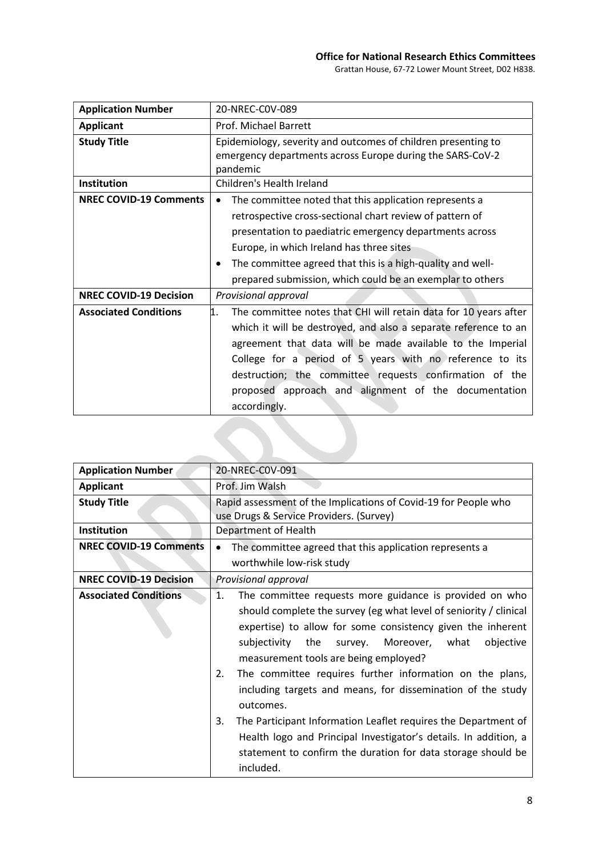| <b>Application Number</b>     | 20-NREC-C0V-089                                                                                                                                                                                                                                                                                                                                                                                        |
|-------------------------------|--------------------------------------------------------------------------------------------------------------------------------------------------------------------------------------------------------------------------------------------------------------------------------------------------------------------------------------------------------------------------------------------------------|
| <b>Applicant</b>              | Prof. Michael Barrett                                                                                                                                                                                                                                                                                                                                                                                  |
| <b>Study Title</b>            | Epidemiology, severity and outcomes of children presenting to<br>emergency departments across Europe during the SARS-CoV-2<br>pandemic                                                                                                                                                                                                                                                                 |
| <b>Institution</b>            | Children's Health Ireland                                                                                                                                                                                                                                                                                                                                                                              |
| <b>NREC COVID-19 Comments</b> | The committee noted that this application represents a<br>$\bullet$<br>retrospective cross-sectional chart review of pattern of<br>presentation to paediatric emergency departments across<br>Europe, in which Ireland has three sites<br>The committee agreed that this is a high-quality and well-<br>prepared submission, which could be an exemplar to others                                      |
| <b>NREC COVID-19 Decision</b> | Provisional approval                                                                                                                                                                                                                                                                                                                                                                                   |
| <b>Associated Conditions</b>  | 1.<br>The committee notes that CHI will retain data for 10 years after<br>which it will be destroyed, and also a separate reference to an<br>agreement that data will be made available to the Imperial<br>College for a period of 5 years with no reference to its<br>destruction; the committee requests confirmation of the<br>proposed approach and alignment of the documentation<br>accordingly. |

| <b>Application Number</b>     | 20-NREC-C0V-091                                                                                                                                                                                                                                                                                                                                                                                                                                                                                                                                                                                                                                                                    |
|-------------------------------|------------------------------------------------------------------------------------------------------------------------------------------------------------------------------------------------------------------------------------------------------------------------------------------------------------------------------------------------------------------------------------------------------------------------------------------------------------------------------------------------------------------------------------------------------------------------------------------------------------------------------------------------------------------------------------|
| <b>Applicant</b>              | Prof. Jim Walsh                                                                                                                                                                                                                                                                                                                                                                                                                                                                                                                                                                                                                                                                    |
| <b>Study Title</b>            | Rapid assessment of the Implications of Covid-19 for People who<br>use Drugs & Service Providers. (Survey)                                                                                                                                                                                                                                                                                                                                                                                                                                                                                                                                                                         |
| <b>Institution</b>            | Department of Health                                                                                                                                                                                                                                                                                                                                                                                                                                                                                                                                                                                                                                                               |
| <b>NREC COVID-19 Comments</b> | The committee agreed that this application represents a                                                                                                                                                                                                                                                                                                                                                                                                                                                                                                                                                                                                                            |
|                               | worthwhile low-risk study                                                                                                                                                                                                                                                                                                                                                                                                                                                                                                                                                                                                                                                          |
| <b>NREC COVID-19 Decision</b> | Provisional approval                                                                                                                                                                                                                                                                                                                                                                                                                                                                                                                                                                                                                                                               |
| <b>Associated Conditions</b>  | 1.<br>The committee requests more guidance is provided on who<br>should complete the survey (eg what level of seniority / clinical<br>expertise) to allow for some consistency given the inherent<br>subjectivity<br>the<br>Moreover, what<br>objective<br>survey.<br>measurement tools are being employed?<br>The committee requires further information on the plans,<br>2.<br>including targets and means, for dissemination of the study<br>outcomes.<br>The Participant Information Leaflet requires the Department of<br>3.<br>Health logo and Principal Investigator's details. In addition, a<br>statement to confirm the duration for data storage should be<br>included. |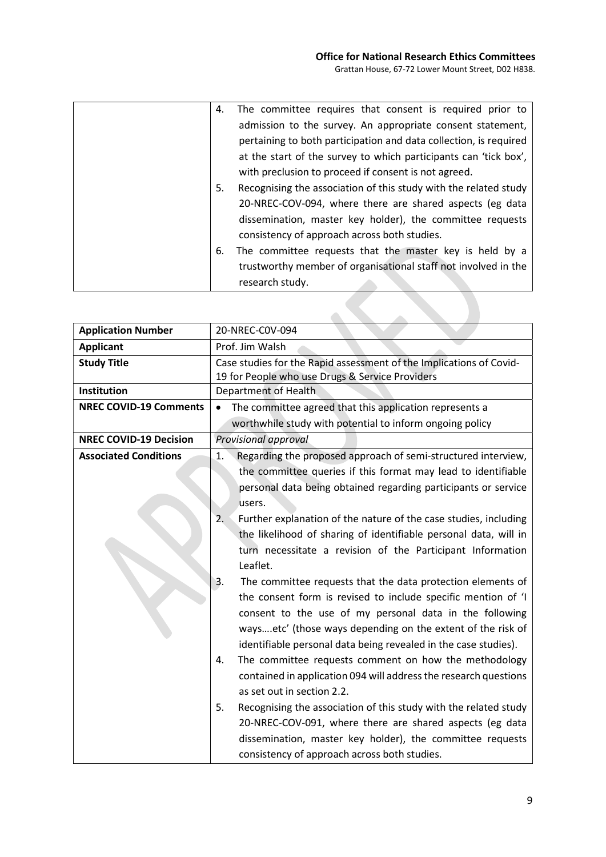| 4. | The committee requires that consent is required prior to          |
|----|-------------------------------------------------------------------|
|    |                                                                   |
|    | admission to the survey. An appropriate consent statement,        |
|    | pertaining to both participation and data collection, is required |
|    | at the start of the survey to which participants can 'tick box',  |
|    | with preclusion to proceed if consent is not agreed.              |
| 5. | Recognising the association of this study with the related study  |
|    | 20-NREC-COV-094, where there are shared aspects (eg data          |
|    | dissemination, master key holder), the committee requests         |
|    | consistency of approach across both studies.                      |
| 6. | The committee requests that the master key is held by a           |
|    | trustworthy member of organisational staff not involved in the    |
|    | research study.                                                   |

| <b>Application Number</b>     | 20-NREC-C0V-094                                                                                                                                                                                                                                                                                                                                                                                                                                                                                                                                                                                                                                                                                                                                                                                                                                                                                                                                                                                                                                                                                                                                 |
|-------------------------------|-------------------------------------------------------------------------------------------------------------------------------------------------------------------------------------------------------------------------------------------------------------------------------------------------------------------------------------------------------------------------------------------------------------------------------------------------------------------------------------------------------------------------------------------------------------------------------------------------------------------------------------------------------------------------------------------------------------------------------------------------------------------------------------------------------------------------------------------------------------------------------------------------------------------------------------------------------------------------------------------------------------------------------------------------------------------------------------------------------------------------------------------------|
| <b>Applicant</b>              | Prof. Jim Walsh                                                                                                                                                                                                                                                                                                                                                                                                                                                                                                                                                                                                                                                                                                                                                                                                                                                                                                                                                                                                                                                                                                                                 |
| <b>Study Title</b>            | Case studies for the Rapid assessment of the Implications of Covid-                                                                                                                                                                                                                                                                                                                                                                                                                                                                                                                                                                                                                                                                                                                                                                                                                                                                                                                                                                                                                                                                             |
|                               | 19 for People who use Drugs & Service Providers                                                                                                                                                                                                                                                                                                                                                                                                                                                                                                                                                                                                                                                                                                                                                                                                                                                                                                                                                                                                                                                                                                 |
| Institution                   | Department of Health                                                                                                                                                                                                                                                                                                                                                                                                                                                                                                                                                                                                                                                                                                                                                                                                                                                                                                                                                                                                                                                                                                                            |
| <b>NREC COVID-19 Comments</b> | The committee agreed that this application represents a<br>$\bullet$                                                                                                                                                                                                                                                                                                                                                                                                                                                                                                                                                                                                                                                                                                                                                                                                                                                                                                                                                                                                                                                                            |
|                               | worthwhile study with potential to inform ongoing policy                                                                                                                                                                                                                                                                                                                                                                                                                                                                                                                                                                                                                                                                                                                                                                                                                                                                                                                                                                                                                                                                                        |
| <b>NREC COVID-19 Decision</b> | Provisional approval                                                                                                                                                                                                                                                                                                                                                                                                                                                                                                                                                                                                                                                                                                                                                                                                                                                                                                                                                                                                                                                                                                                            |
| <b>Associated Conditions</b>  | Regarding the proposed approach of semi-structured interview,<br>1.<br>the committee queries if this format may lead to identifiable<br>personal data being obtained regarding participants or service<br>users.<br>2.<br>Further explanation of the nature of the case studies, including<br>the likelihood of sharing of identifiable personal data, will in<br>turn necessitate a revision of the Participant Information<br>Leaflet.<br>The committee requests that the data protection elements of<br>3.<br>the consent form is revised to include specific mention of 'I<br>consent to the use of my personal data in the following<br>waysetc' (those ways depending on the extent of the risk of<br>identifiable personal data being revealed in the case studies).<br>The committee requests comment on how the methodology<br>4.<br>contained in application 094 will address the research questions<br>as set out in section 2.2.<br>5.<br>Recognising the association of this study with the related study<br>20-NREC-COV-091, where there are shared aspects (eg data<br>dissemination, master key holder), the committee requests |
|                               | consistency of approach across both studies.                                                                                                                                                                                                                                                                                                                                                                                                                                                                                                                                                                                                                                                                                                                                                                                                                                                                                                                                                                                                                                                                                                    |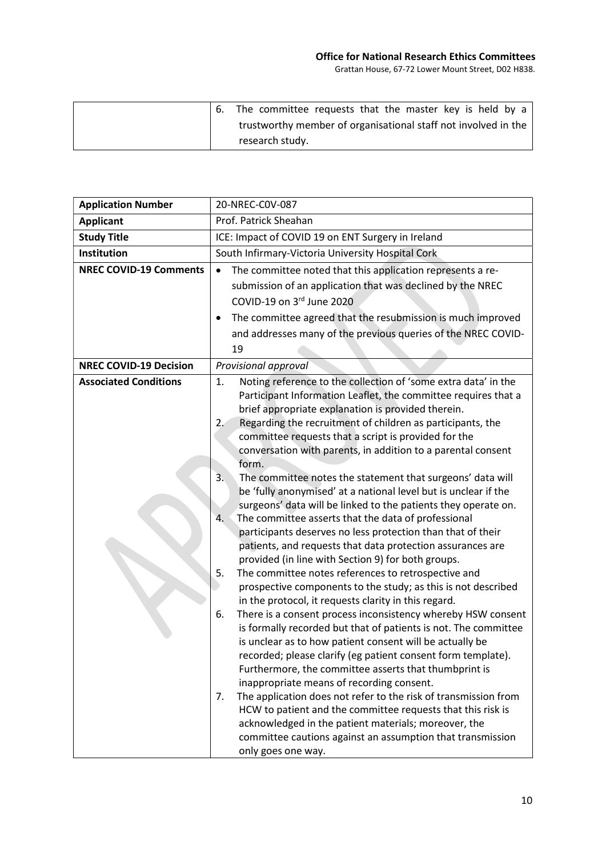|  | The committee requests that the master key is held by a        |
|--|----------------------------------------------------------------|
|  | trustworthy member of organisational staff not involved in the |
|  | research study.                                                |

| <b>Application Number</b>     | 20-NREC-C0V-087                                                                                                                                                                                                                                                                                                                                                                                                                                                                                                                                                                                                                                                                                                                                                                                                                                                                                                                                                                                                                                                                                                                                                                                                                                                                                                                                                                                                                                                                                                                                                                                                                                                                                                 |
|-------------------------------|-----------------------------------------------------------------------------------------------------------------------------------------------------------------------------------------------------------------------------------------------------------------------------------------------------------------------------------------------------------------------------------------------------------------------------------------------------------------------------------------------------------------------------------------------------------------------------------------------------------------------------------------------------------------------------------------------------------------------------------------------------------------------------------------------------------------------------------------------------------------------------------------------------------------------------------------------------------------------------------------------------------------------------------------------------------------------------------------------------------------------------------------------------------------------------------------------------------------------------------------------------------------------------------------------------------------------------------------------------------------------------------------------------------------------------------------------------------------------------------------------------------------------------------------------------------------------------------------------------------------------------------------------------------------------------------------------------------------|
| <b>Applicant</b>              | Prof. Patrick Sheahan                                                                                                                                                                                                                                                                                                                                                                                                                                                                                                                                                                                                                                                                                                                                                                                                                                                                                                                                                                                                                                                                                                                                                                                                                                                                                                                                                                                                                                                                                                                                                                                                                                                                                           |
| <b>Study Title</b>            | ICE: Impact of COVID 19 on ENT Surgery in Ireland                                                                                                                                                                                                                                                                                                                                                                                                                                                                                                                                                                                                                                                                                                                                                                                                                                                                                                                                                                                                                                                                                                                                                                                                                                                                                                                                                                                                                                                                                                                                                                                                                                                               |
| Institution                   | South Infirmary-Victoria University Hospital Cork                                                                                                                                                                                                                                                                                                                                                                                                                                                                                                                                                                                                                                                                                                                                                                                                                                                                                                                                                                                                                                                                                                                                                                                                                                                                                                                                                                                                                                                                                                                                                                                                                                                               |
| <b>NREC COVID-19 Comments</b> | The committee noted that this application represents a re-<br>submission of an application that was declined by the NREC<br>COVID-19 on 3rd June 2020<br>The committee agreed that the resubmission is much improved<br>٠<br>and addresses many of the previous queries of the NREC COVID-<br>19                                                                                                                                                                                                                                                                                                                                                                                                                                                                                                                                                                                                                                                                                                                                                                                                                                                                                                                                                                                                                                                                                                                                                                                                                                                                                                                                                                                                                |
| <b>NREC COVID-19 Decision</b> | Provisional approval                                                                                                                                                                                                                                                                                                                                                                                                                                                                                                                                                                                                                                                                                                                                                                                                                                                                                                                                                                                                                                                                                                                                                                                                                                                                                                                                                                                                                                                                                                                                                                                                                                                                                            |
| <b>Associated Conditions</b>  | Noting reference to the collection of 'some extra data' in the<br>1.<br>Participant Information Leaflet, the committee requires that a<br>brief appropriate explanation is provided therein.<br>Regarding the recruitment of children as participants, the<br>2.<br>committee requests that a script is provided for the<br>conversation with parents, in addition to a parental consent<br>form.<br>3.<br>The committee notes the statement that surgeons' data will<br>be 'fully anonymised' at a national level but is unclear if the<br>surgeons' data will be linked to the patients they operate on.<br>The committee asserts that the data of professional<br>4.<br>participants deserves no less protection than that of their<br>patients, and requests that data protection assurances are<br>provided (in line with Section 9) for both groups.<br>The committee notes references to retrospective and<br>5.<br>prospective components to the study; as this is not described<br>in the protocol, it requests clarity in this regard.<br>There is a consent process inconsistency whereby HSW consent<br>6.<br>is formally recorded but that of patients is not. The committee<br>is unclear as to how patient consent will be actually be<br>recorded; please clarify (eg patient consent form template).<br>Furthermore, the committee asserts that thumbprint is<br>inappropriate means of recording consent.<br>The application does not refer to the risk of transmission from<br>7.<br>HCW to patient and the committee requests that this risk is<br>acknowledged in the patient materials; moreover, the<br>committee cautions against an assumption that transmission<br>only goes one way. |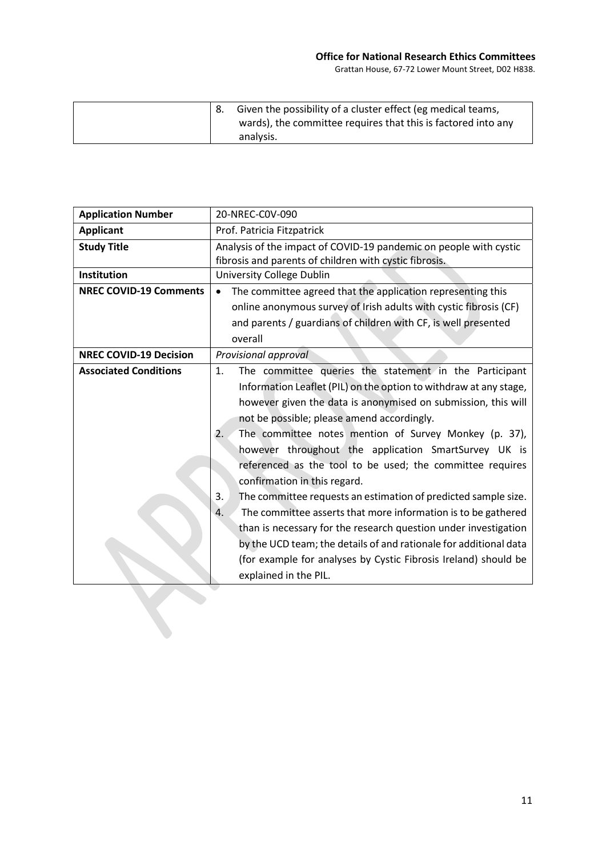|  | Given the possibility of a cluster effect (eg medical teams,<br>wards), the committee requires that this is factored into any |
|--|-------------------------------------------------------------------------------------------------------------------------------|
|  | analysis.                                                                                                                     |

| <b>Application Number</b>     | 20-NREC-C0V-090                                                      |  |  |
|-------------------------------|----------------------------------------------------------------------|--|--|
| <b>Applicant</b>              | Prof. Patricia Fitzpatrick                                           |  |  |
| <b>Study Title</b>            | Analysis of the impact of COVID-19 pandemic on people with cystic    |  |  |
|                               | fibrosis and parents of children with cystic fibrosis.               |  |  |
| Institution                   | <b>University College Dublin</b>                                     |  |  |
| <b>NREC COVID-19 Comments</b> | The committee agreed that the application representing this          |  |  |
|                               | online anonymous survey of Irish adults with cystic fibrosis (CF)    |  |  |
|                               | and parents / guardians of children with CF, is well presented       |  |  |
|                               | overall                                                              |  |  |
| <b>NREC COVID-19 Decision</b> | Provisional approval                                                 |  |  |
| <b>Associated Conditions</b>  | The committee queries the statement in the Participant<br>1.         |  |  |
|                               | Information Leaflet (PIL) on the option to withdraw at any stage,    |  |  |
|                               | however given the data is anonymised on submission, this will        |  |  |
|                               | not be possible; please amend accordingly.                           |  |  |
|                               | The committee notes mention of Survey Monkey (p. 37),<br>2.          |  |  |
|                               | however throughout the application SmartSurvey UK is                 |  |  |
|                               | referenced as the tool to be used; the committee requires            |  |  |
|                               | confirmation in this regard.                                         |  |  |
|                               | 3.<br>The committee requests an estimation of predicted sample size. |  |  |
|                               | The committee asserts that more information is to be gathered<br>4.  |  |  |
|                               | than is necessary for the research question under investigation      |  |  |
|                               | by the UCD team; the details of and rationale for additional data    |  |  |
|                               | (for example for analyses by Cystic Fibrosis Ireland) should be      |  |  |
|                               | explained in the PIL.                                                |  |  |
|                               |                                                                      |  |  |
|                               |                                                                      |  |  |
|                               |                                                                      |  |  |